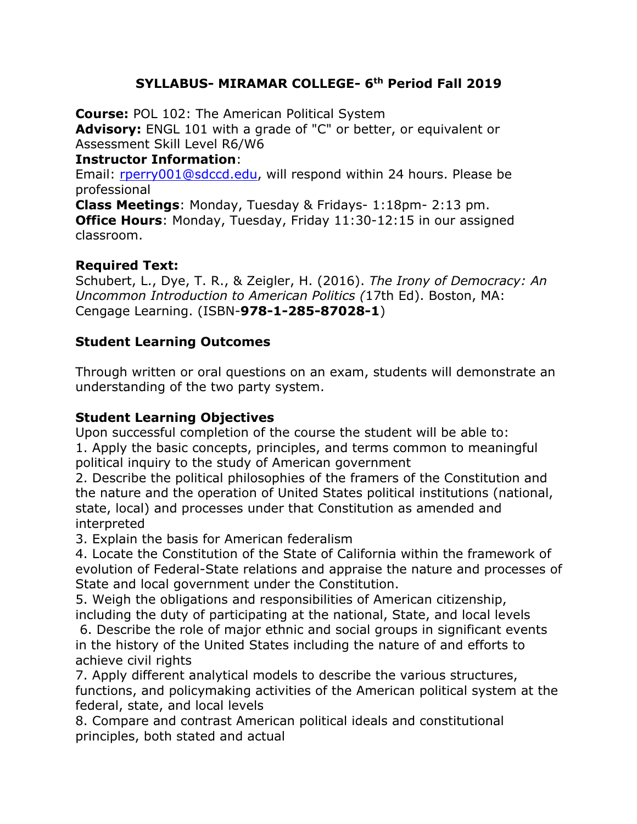## **SYLLABUS- MIRAMAR COLLEGE- 6th Period Fall 2019**

**Course:** POL 102: The American Political System **Advisory:** ENGL 101 with a grade of "C" or better, or equivalent or Assessment Skill Level R6/W6 **Instructor Information**:

Email: rperry001@sdccd.edu, will respond within 24 hours. Please be professional

**Class Meetings**: Monday, Tuesday & Fridays- 1:18pm- 2:13 pm. **Office Hours**: Monday, Tuesday, Friday 11:30-12:15 in our assigned classroom.

## **Required Text:**

Schubert, L., Dye, T. R., & Zeigler, H. (2016). *The Irony of Democracy: An Uncommon Introduction to American Politics (*17th Ed). Boston, MA: Cengage Learning. (ISBN-**978-1-285-87028-1**)

### **Student Learning Outcomes**

Through written or oral questions on an exam, students will demonstrate an understanding of the two party system.

### **Student Learning Objectives**

Upon successful completion of the course the student will be able to: 1. Apply the basic concepts, principles, and terms common to meaningful political inquiry to the study of American government

2. Describe the political philosophies of the framers of the Constitution and the nature and the operation of United States political institutions (national, state, local) and processes under that Constitution as amended and interpreted

3. Explain the basis for American federalism

4. Locate the Constitution of the State of California within the framework of evolution of Federal-State relations and appraise the nature and processes of State and local government under the Constitution.

5. Weigh the obligations and responsibilities of American citizenship, including the duty of participating at the national, State, and local levels

6. Describe the role of major ethnic and social groups in significant events in the history of the United States including the nature of and efforts to achieve civil rights

7. Apply different analytical models to describe the various structures, functions, and policymaking activities of the American political system at the federal, state, and local levels

8. Compare and contrast American political ideals and constitutional principles, both stated and actual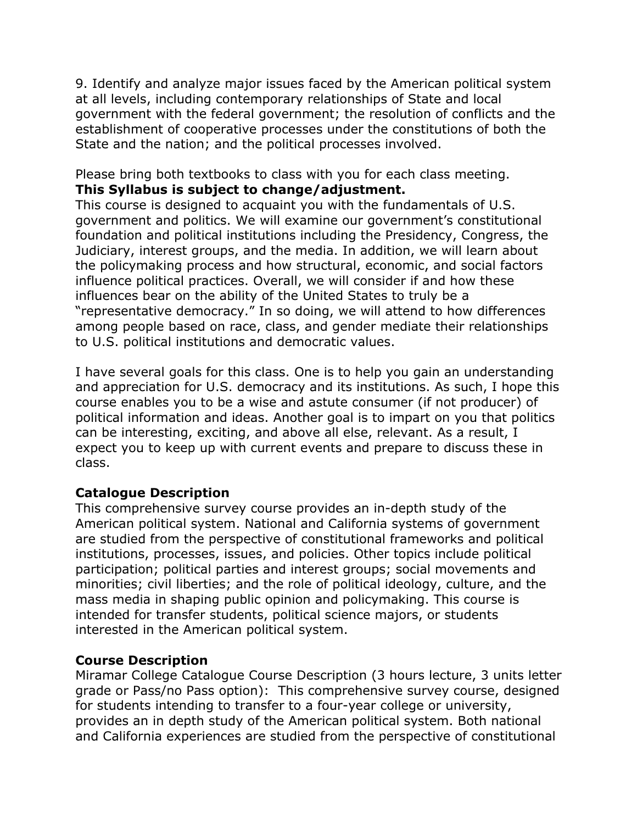9. Identify and analyze major issues faced by the American political system at all levels, including contemporary relationships of State and local government with the federal government; the resolution of conflicts and the establishment of cooperative processes under the constitutions of both the State and the nation; and the political processes involved.

Please bring both textbooks to class with you for each class meeting. **This Syllabus is subject to change/adjustment.** 

This course is designed to acquaint you with the fundamentals of U.S. government and politics. We will examine our government's constitutional foundation and political institutions including the Presidency, Congress, the Judiciary, interest groups, and the media. In addition, we will learn about the policymaking process and how structural, economic, and social factors influence political practices. Overall, we will consider if and how these influences bear on the ability of the United States to truly be a "representative democracy." In so doing, we will attend to how differences among people based on race, class, and gender mediate their relationships to U.S. political institutions and democratic values.

I have several goals for this class. One is to help you gain an understanding and appreciation for U.S. democracy and its institutions. As such, I hope this course enables you to be a wise and astute consumer (if not producer) of political information and ideas. Another goal is to impart on you that politics can be interesting, exciting, and above all else, relevant. As a result, I expect you to keep up with current events and prepare to discuss these in class.

### **Catalogue Description**

This comprehensive survey course provides an in-depth study of the American political system. National and California systems of government are studied from the perspective of constitutional frameworks and political institutions, processes, issues, and policies. Other topics include political participation; political parties and interest groups; social movements and minorities; civil liberties; and the role of political ideology, culture, and the mass media in shaping public opinion and policymaking. This course is intended for transfer students, political science majors, or students interested in the American political system.

## **Course Description**

Miramar College Catalogue Course Description (3 hours lecture, 3 units letter grade or Pass/no Pass option): This comprehensive survey course, designed for students intending to transfer to a four-year college or university, provides an in depth study of the American political system. Both national and California experiences are studied from the perspective of constitutional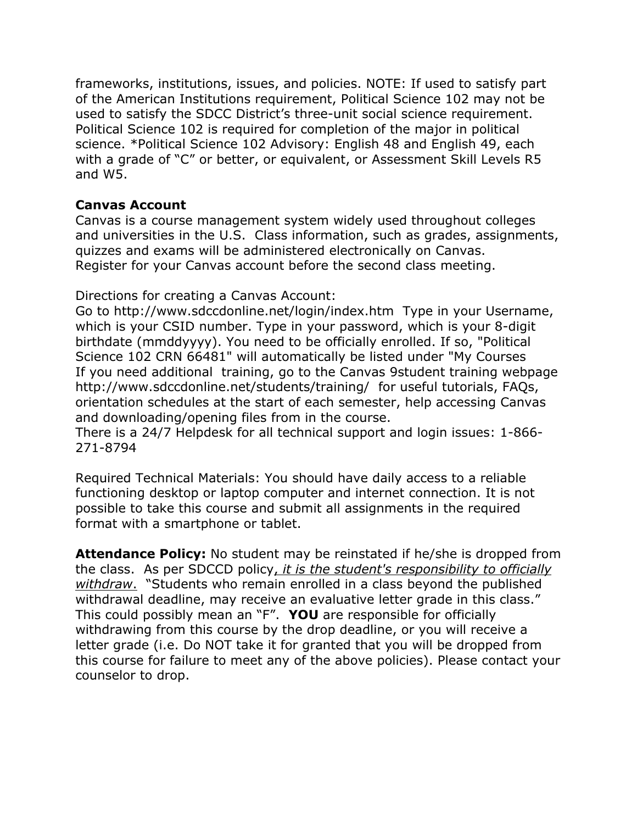frameworks, institutions, issues, and policies. NOTE: If used to satisfy part of the American Institutions requirement, Political Science 102 may not be used to satisfy the SDCC District's three-unit social science requirement. Political Science 102 is required for completion of the major in political science. \*Political Science 102 Advisory: English 48 and English 49, each with a grade of "C" or better, or equivalent, or Assessment Skill Levels R5 and W5.

### **Canvas Account**

Canvas is a course management system widely used throughout colleges and universities in the U.S. Class information, such as grades, assignments, quizzes and exams will be administered electronically on Canvas. Register for your Canvas account before the second class meeting.

Directions for creating a Canvas Account:

Go to http://www.sdccdonline.net/login/index.htm Type in your Username, which is your CSID number. Type in your password, which is your 8-digit birthdate (mmddyyyy). You need to be officially enrolled. If so, "Political Science 102 CRN 66481" will automatically be listed under "My Courses If you need additional training, go to the Canvas 9student training webpage http://www.sdccdonline.net/students/training/ for useful tutorials, FAQs, orientation schedules at the start of each semester, help accessing Canvas and downloading/opening files from in the course.

There is a 24/7 Helpdesk for all technical support and login issues: 1-866- 271-8794

Required Technical Materials: You should have daily access to a reliable functioning desktop or laptop computer and internet connection. It is not possible to take this course and submit all assignments in the required format with a smartphone or tablet.

**Attendance Policy:** No student may be reinstated if he/she is dropped from the class. As per SDCCD policy, *it is the student's responsibility to officially withdraw*. "Students who remain enrolled in a class beyond the published withdrawal deadline, may receive an evaluative letter grade in this class." This could possibly mean an "F". **YOU** are responsible for officially withdrawing from this course by the drop deadline, or you will receive a letter grade (i.e. Do NOT take it for granted that you will be dropped from this course for failure to meet any of the above policies). Please contact your counselor to drop.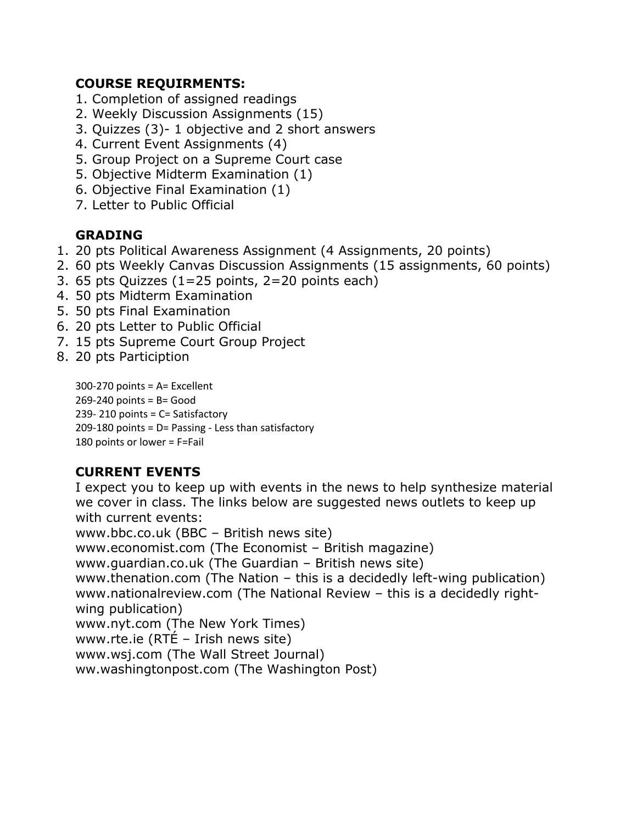## **COURSE REQUIRMENTS:**

- 1. Completion of assigned readings
- 2. Weekly Discussion Assignments (15)
- 3. Quizzes (3)- 1 objective and 2 short answers
- 4. Current Event Assignments (4)
- 5. Group Project on a Supreme Court case
- 5. Objective Midterm Examination (1)
- 6. Objective Final Examination (1)
- 7. Letter to Public Official

# **GRADING**

- 1. 20 pts Political Awareness Assignment (4 Assignments, 20 points)
- 2. 60 pts Weekly Canvas Discussion Assignments (15 assignments, 60 points)
- 3. 65 pts Quizzes (1=25 points, 2=20 points each)
- 4. 50 pts Midterm Examination
- 5. 50 pts Final Examination
- 6. 20 pts Letter to Public Official
- 7. 15 pts Supreme Court Group Project
- 8. 20 pts Particiption

300-270 points = A= Excellent  $269-240$  points = B= Good 239- 210 points = C= Satisfactory 209-180 points = D= Passing - Less than satisfactory 180 points or lower = F=Fail

# **CURRENT EVENTS**

I expect you to keep up with events in the news to help synthesize material we cover in class. The links below are suggested news outlets to keep up with current events: www.bbc.co.uk (BBC – British news site) www.economist.com (The Economist – British magazine) www.guardian.co.uk (The Guardian – British news site) www.thenation.com (The Nation – this is a decidedly left-wing publication) www.nationalreview.com (The National Review – this is a decidedly rightwing publication) www.nyt.com (The New York Times) www.rte.ie (RTÉ – Irish news site) www.wsj.com (The Wall Street Journal) ww.washingtonpost.com (The Washington Post)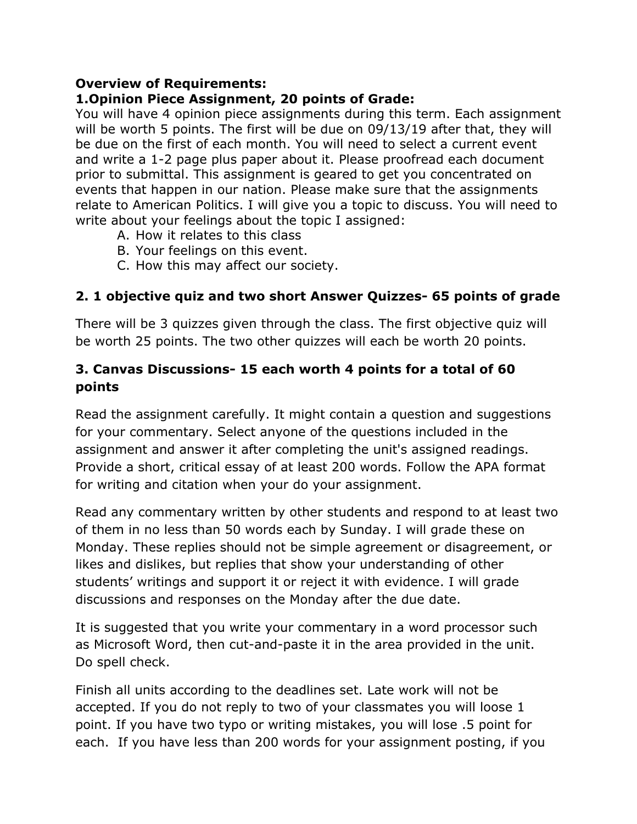# **Overview of Requirements:**

# **1.Opinion Piece Assignment, 20 points of Grade:**

You will have 4 opinion piece assignments during this term. Each assignment will be worth 5 points. The first will be due on 09/13/19 after that, they will be due on the first of each month. You will need to select a current event and write a 1-2 page plus paper about it. Please proofread each document prior to submittal. This assignment is geared to get you concentrated on events that happen in our nation. Please make sure that the assignments relate to American Politics. I will give you a topic to discuss. You will need to write about your feelings about the topic I assigned:

- A. How it relates to this class
- B. Your feelings on this event.
- C. How this may affect our society.

# **2. 1 objective quiz and two short Answer Quizzes- 65 points of grade**

There will be 3 quizzes given through the class. The first objective quiz will be worth 25 points. The two other quizzes will each be worth 20 points.

# **3. Canvas Discussions- 15 each worth 4 points for a total of 60 points**

Read the assignment carefully. It might contain a question and suggestions for your commentary. Select anyone of the questions included in the assignment and answer it after completing the unit's assigned readings. Provide a short, critical essay of at least 200 words. Follow the APA format for writing and citation when your do your assignment.

Read any commentary written by other students and respond to at least two of them in no less than 50 words each by Sunday. I will grade these on Monday. These replies should not be simple agreement or disagreement, or likes and dislikes, but replies that show your understanding of other students' writings and support it or reject it with evidence. I will grade discussions and responses on the Monday after the due date.

It is suggested that you write your commentary in a word processor such as Microsoft Word, then cut-and-paste it in the area provided in the unit. Do spell check.

Finish all units according to the deadlines set. Late work will not be accepted. If you do not reply to two of your classmates you will loose 1 point. If you have two typo or writing mistakes, you will lose .5 point for each. If you have less than 200 words for your assignment posting, if you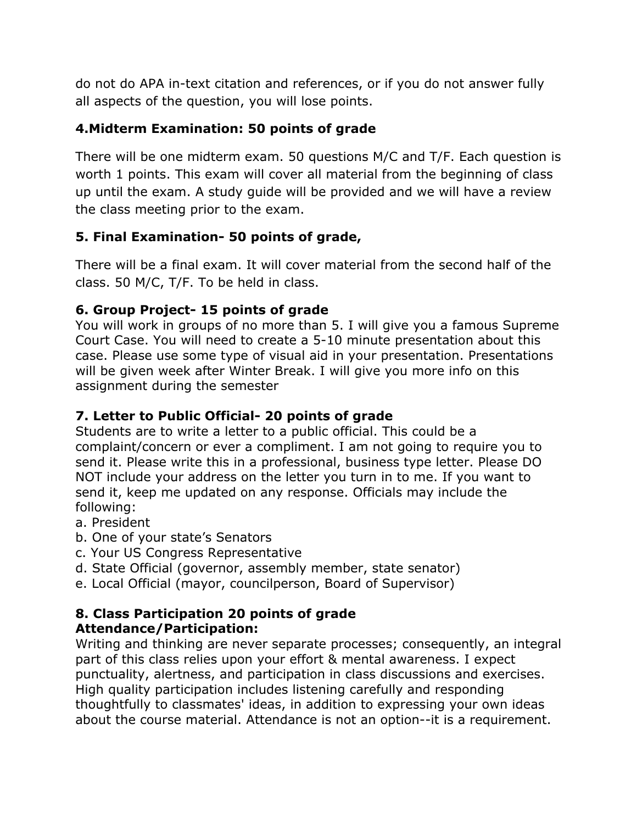do not do APA in-text citation and references, or if you do not answer fully all aspects of the question, you will lose points.

# **4.Midterm Examination: 50 points of grade**

There will be one midterm exam. 50 questions M/C and T/F. Each question is worth 1 points. This exam will cover all material from the beginning of class up until the exam. A study guide will be provided and we will have a review the class meeting prior to the exam.

# **5. Final Examination- 50 points of grade,**

There will be a final exam. It will cover material from the second half of the class. 50 M/C, T/F. To be held in class.

## **6. Group Project- 15 points of grade**

You will work in groups of no more than 5. I will give you a famous Supreme Court Case. You will need to create a 5-10 minute presentation about this case. Please use some type of visual aid in your presentation. Presentations will be given week after Winter Break. I will give you more info on this assignment during the semester

# **7. Letter to Public Official- 20 points of grade**

Students are to write a letter to a public official. This could be a complaint/concern or ever a compliment. I am not going to require you to send it. Please write this in a professional, business type letter. Please DO NOT include your address on the letter you turn in to me. If you want to send it, keep me updated on any response. Officials may include the following:

- a. President
- b. One of your state's Senators
- c. Your US Congress Representative
- d. State Official (governor, assembly member, state senator)
- e. Local Official (mayor, councilperson, Board of Supervisor)

## **8. Class Participation 20 points of grade Attendance/Participation:**

Writing and thinking are never separate processes; consequently, an integral part of this class relies upon your effort & mental awareness. I expect punctuality, alertness, and participation in class discussions and exercises. High quality participation includes listening carefully and responding thoughtfully to classmates' ideas, in addition to expressing your own ideas about the course material. Attendance is not an option--it is a requirement.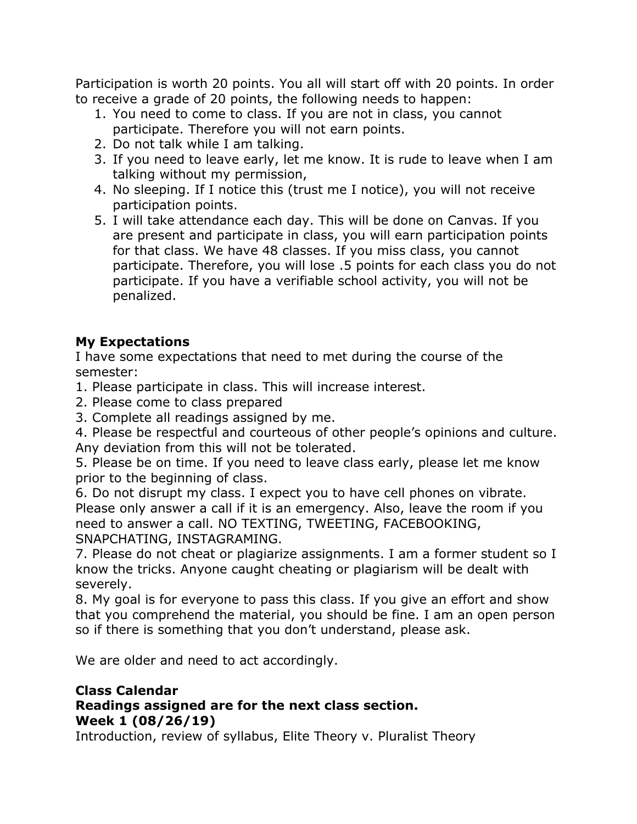Participation is worth 20 points. You all will start off with 20 points. In order to receive a grade of 20 points, the following needs to happen:

- 1. You need to come to class. If you are not in class, you cannot participate. Therefore you will not earn points.
- 2. Do not talk while I am talking.
- 3. If you need to leave early, let me know. It is rude to leave when I am talking without my permission,
- 4. No sleeping. If I notice this (trust me I notice), you will not receive participation points.
- 5. I will take attendance each day. This will be done on Canvas. If you are present and participate in class, you will earn participation points for that class. We have 48 classes. If you miss class, you cannot participate. Therefore, you will lose .5 points for each class you do not participate. If you have a verifiable school activity, you will not be penalized.

# **My Expectations**

I have some expectations that need to met during the course of the semester:

1. Please participate in class. This will increase interest.

- 2. Please come to class prepared
- 3. Complete all readings assigned by me.

4. Please be respectful and courteous of other people's opinions and culture. Any deviation from this will not be tolerated.

5. Please be on time. If you need to leave class early, please let me know prior to the beginning of class.

6. Do not disrupt my class. I expect you to have cell phones on vibrate. Please only answer a call if it is an emergency. Also, leave the room if you need to answer a call. NO TEXTING, TWEETING, FACEBOOKING, SNAPCHATING, INSTAGRAMING.

7. Please do not cheat or plagiarize assignments. I am a former student so I know the tricks. Anyone caught cheating or plagiarism will be dealt with severely.

8. My goal is for everyone to pass this class. If you give an effort and show that you comprehend the material, you should be fine. I am an open person so if there is something that you don't understand, please ask.

We are older and need to act accordingly.

### **Class Calendar Readings assigned are for the next class section. Week 1 (08/26/19)**

Introduction, review of syllabus, Elite Theory v. Pluralist Theory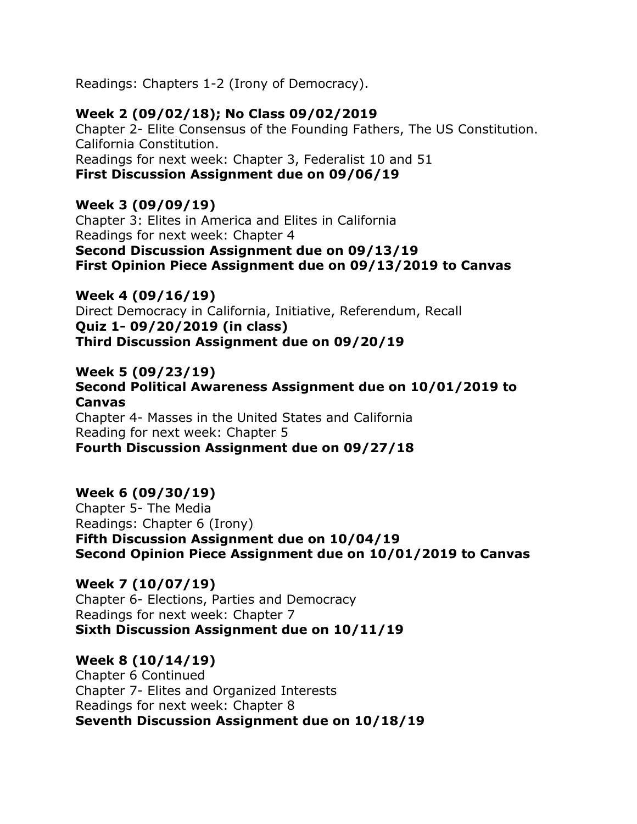Readings: Chapters 1-2 (Irony of Democracy).

## **Week 2 (09/02/18); No Class 09/02/2019**

Chapter 2- Elite Consensus of the Founding Fathers, The US Constitution. California Constitution. Readings for next week: Chapter 3, Federalist 10 and 51 **First Discussion Assignment due on 09/06/19**

# **Week 3 (09/09/19)**

Chapter 3: Elites in America and Elites in California Readings for next week: Chapter 4 **Second Discussion Assignment due on 09/13/19 First Opinion Piece Assignment due on 09/13/2019 to Canvas**

**Week 4 (09/16/19)** Direct Democracy in California, Initiative, Referendum, Recall **Quiz 1- 09/20/2019 (in class) Third Discussion Assignment due on 09/20/19**

## **Week 5 (09/23/19)**

**Second Political Awareness Assignment due on 10/01/2019 to Canvas**

Chapter 4- Masses in the United States and California Reading for next week: Chapter 5 **Fourth Discussion Assignment due on 09/27/18**

## **Week 6 (09/30/19)**

Chapter 5- The Media Readings: Chapter 6 (Irony) **Fifth Discussion Assignment due on 10/04/19 Second Opinion Piece Assignment due on 10/01/2019 to Canvas**

### **Week 7 (10/07/19)**

Chapter 6- Elections, Parties and Democracy Readings for next week: Chapter 7 **Sixth Discussion Assignment due on 10/11/19**

## **Week 8 (10/14/19)**

Chapter 6 Continued Chapter 7- Elites and Organized Interests Readings for next week: Chapter 8 **Seventh Discussion Assignment due on 10/18/19**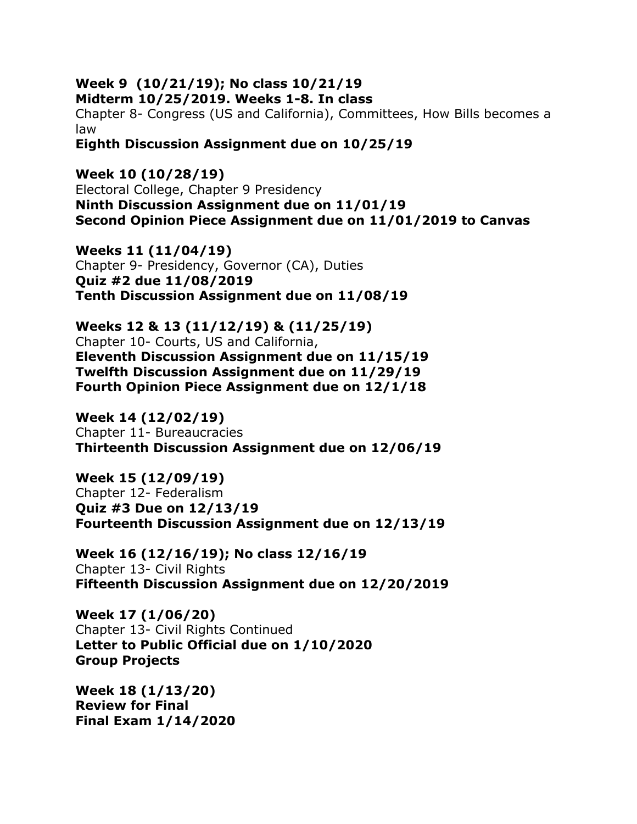#### **Week 9 (10/21/19); No class 10/21/19 Midterm 10/25/2019. Weeks 1-8. In class**

Chapter 8- Congress (US and California), Committees, How Bills becomes a law

**Eighth Discussion Assignment due on 10/25/19**

**Week 10 (10/28/19)** Electoral College, Chapter 9 Presidency **Ninth Discussion Assignment due on 11/01/19 Second Opinion Piece Assignment due on 11/01/2019 to Canvas**

**Weeks 11 (11/04/19)** Chapter 9- Presidency, Governor (CA), Duties **Quiz #2 due 11/08/2019 Tenth Discussion Assignment due on 11/08/19**

**Weeks 12 & 13 (11/12/19) & (11/25/19)** Chapter 10- Courts, US and California, **Eleventh Discussion Assignment due on 11/15/19 Twelfth Discussion Assignment due on 11/29/19 Fourth Opinion Piece Assignment due on 12/1/18**

**Week 14 (12/02/19)** Chapter 11- Bureaucracies **Thirteenth Discussion Assignment due on 12/06/19**

**Week 15 (12/09/19)** Chapter 12- Federalism **Quiz #3 Due on 12/13/19 Fourteenth Discussion Assignment due on 12/13/19**

**Week 16 (12/16/19); No class 12/16/19** Chapter 13- Civil Rights **Fifteenth Discussion Assignment due on 12/20/2019**

**Week 17 (1/06/20)** Chapter 13- Civil Rights Continued **Letter to Public Official due on 1/10/2020 Group Projects**

**Week 18 (1/13/20) Review for Final Final Exam 1/14/2020**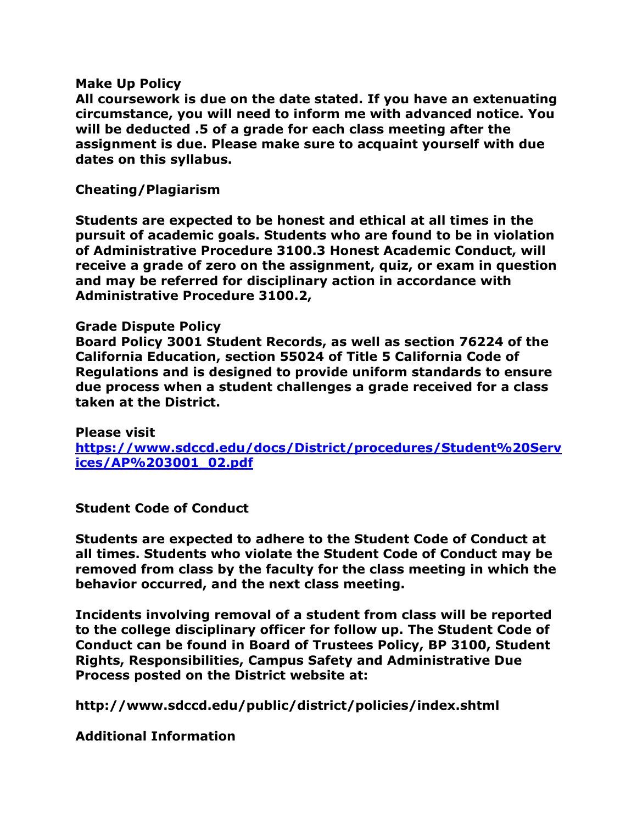#### **Make Up Policy**

**All coursework is due on the date stated. If you have an extenuating circumstance, you will need to inform me with advanced notice. You will be deducted .5 of a grade for each class meeting after the assignment is due. Please make sure to acquaint yourself with due dates on this syllabus.** 

#### **Cheating/Plagiarism**

**Students are expected to be honest and ethical at all times in the pursuit of academic goals. Students who are found to be in violation of Administrative Procedure 3100.3 Honest Academic Conduct, will receive a grade of zero on the assignment, quiz, or exam in question and may be referred for disciplinary action in accordance with Administrative Procedure 3100.2,** 

#### **Grade Dispute Policy**

**Board Policy 3001 Student Records, as well as section 76224 of the California Education, section 55024 of Title 5 California Code of Regulations and is designed to provide uniform standards to ensure due process when a student challenges a grade received for a class taken at the District.**

**Please visit https://www.sdccd.edu/docs/District/procedures/Student%20Serv ices/AP%203001\_02.pdf**

### **Student Code of Conduct**

**Students are expected to adhere to the Student Code of Conduct at all times. Students who violate the Student Code of Conduct may be removed from class by the faculty for the class meeting in which the behavior occurred, and the next class meeting.** 

**Incidents involving removal of a student from class will be reported to the college disciplinary officer for follow up. The Student Code of Conduct can be found in Board of Trustees Policy, BP 3100, Student Rights, Responsibilities, Campus Safety and Administrative Due Process posted on the District website at:** 

**http://www.sdccd.edu/public/district/policies/index.shtml**

**Additional Information**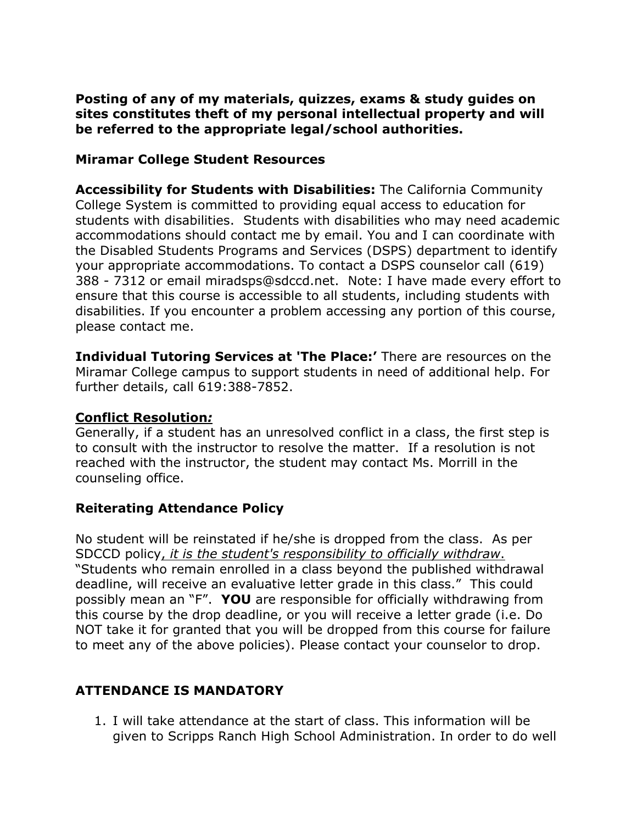**Posting of any of my materials, quizzes, exams & study guides on sites constitutes theft of my personal intellectual property and will be referred to the appropriate legal/school authorities.**

### **Miramar College Student Resources**

**Accessibility for Students with Disabilities:** The California Community College System is committed to providing equal access to education for students with disabilities. Students with disabilities who may need academic accommodations should contact me by email. You and I can coordinate with the Disabled Students Programs and Services (DSPS) department to identify your appropriate accommodations. To contact a DSPS counselor call (619) 388 - 7312 or email miradsps@sdccd.net. Note: I have made every effort to ensure that this course is accessible to all students, including students with disabilities. If you encounter a problem accessing any portion of this course, please contact me.

**Individual Tutoring Services at 'The Place:'** There are resources on the Miramar College campus to support students in need of additional help. For further details, call 619:388-7852.

#### **Conflict Resolution***:*

Generally, if a student has an unresolved conflict in a class, the first step is to consult with the instructor to resolve the matter. If a resolution is not reached with the instructor, the student may contact Ms. Morrill in the counseling office.

### **Reiterating Attendance Policy**

No student will be reinstated if he/she is dropped from the class. As per SDCCD policy, *it is the student's responsibility to officially withdraw*. "Students who remain enrolled in a class beyond the published withdrawal deadline, will receive an evaluative letter grade in this class." This could possibly mean an "F". **YOU** are responsible for officially withdrawing from this course by the drop deadline, or you will receive a letter grade (i.e. Do NOT take it for granted that you will be dropped from this course for failure to meet any of the above policies). Please contact your counselor to drop.

## **ATTENDANCE IS MANDATORY**

1. I will take attendance at the start of class. This information will be given to Scripps Ranch High School Administration. In order to do well